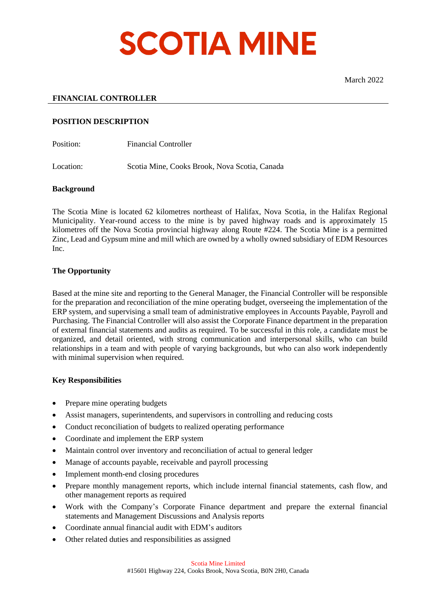

#### **FINANCIAL CONTROLLER**

### **POSITION DESCRIPTION**

Position: Financial Controller

Location: Scotia Mine, Cooks Brook, Nova Scotia, Canada

#### **Background**

The Scotia Mine is located 62 kilometres northeast of Halifax, Nova Scotia, in the Halifax Regional Municipality. Year-round access to the mine is by paved highway roads and is approximately 15 kilometres off the Nova Scotia provincial highway along Route #224. The Scotia Mine is a permitted Zinc, Lead and Gypsum mine and mill which are owned by a wholly owned subsidiary of EDM Resources Inc.

#### **The Opportunity**

Based at the mine site and reporting to the General Manager, the Financial Controller will be responsible for the preparation and reconciliation of the mine operating budget, overseeing the implementation of the ERP system, and supervising a small team of administrative employees in Accounts Payable, Payroll and Purchasing. The Financial Controller will also assist the Corporate Finance department in the preparation of external financial statements and audits as required. To be successful in this role, a candidate must be organized, and detail oriented, with strong communication and interpersonal skills, who can build relationships in a team and with people of varying backgrounds, but who can also work independently with minimal supervision when required.

#### **Key Responsibilities**

- Prepare mine operating budgets
- Assist managers, superintendents, and supervisors in controlling and reducing costs
- Conduct reconciliation of budgets to realized operating performance
- Coordinate and implement the ERP system
- Maintain control over inventory and reconciliation of actual to general ledger
- Manage of accounts payable, receivable and payroll processing
- Implement month-end closing procedures
- Prepare monthly management reports, which include internal financial statements, cash flow, and other management reports as required
- Work with the Company's Corporate Finance department and prepare the external financial statements and Management Discussions and Analysis reports
- Coordinate annual financial audit with EDM's auditors
- Other related duties and responsibilities as assigned